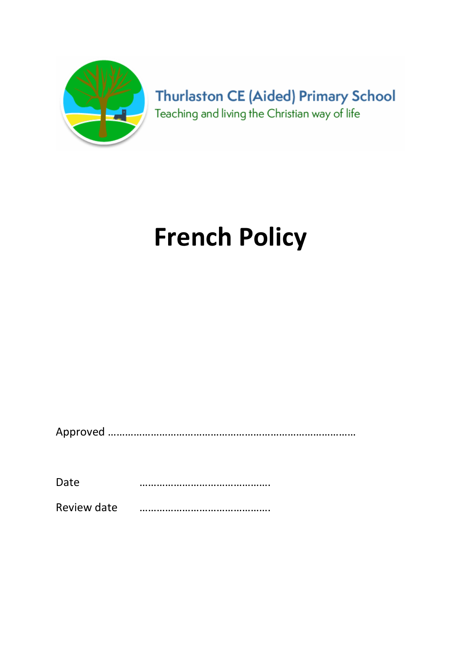

**Thurlaston CE (Aided) Primary School** Teaching and living the Christian way of life

# French Policy

Approved ……………………………………………………………………………

Date ……………………………………….

Review date ……………………………………….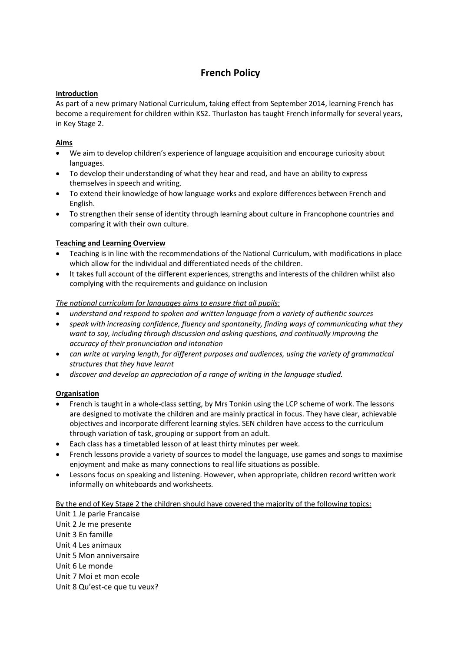## French Policy

#### Introduction

As part of a new primary National Curriculum, taking effect from September 2014, learning French has become a requirement for children within KS2. Thurlaston has taught French informally for several years, in Key Stage 2.

#### Aims

- We aim to develop children's experience of language acquisition and encourage curiosity about languages.
- To develop their understanding of what they hear and read, and have an ability to express themselves in speech and writing.
- To extend their knowledge of how language works and explore differences between French and English.
- To strengthen their sense of identity through learning about culture in Francophone countries and comparing it with their own culture.

#### Teaching and Learning Overview

- Teaching is in line with the recommendations of the National Curriculum, with modifications in place which allow for the individual and differentiated needs of the children.
- It takes full account of the different experiences, strengths and interests of the children whilst also complying with the requirements and guidance on inclusion

#### The national curriculum for languages aims to ensure that all pupils:

- understand and respond to spoken and written language from a variety of authentic sources
- speak with increasing confidence, fluency and spontaneity, finding ways of communicating what they want to say, including through discussion and asking questions, and continually improving the accuracy of their pronunciation and intonation
- can write at varying length, for different purposes and audiences, using the variety of grammatical structures that they have learnt
- discover and develop an appreciation of a range of writing in the language studied.

#### **Organisation**

- French is taught in a whole-class setting, by Mrs Tonkin using the LCP scheme of work. The lessons are designed to motivate the children and are mainly practical in focus. They have clear, achievable objectives and incorporate different learning styles. SEN children have access to the curriculum through variation of task, grouping or support from an adult.
- Each class has a timetabled lesson of at least thirty minutes per week.
- French lessons provide a variety of sources to model the language, use games and songs to maximise enjoyment and make as many connections to real life situations as possible.
- Lessons focus on speaking and listening. However, when appropriate, children record written work informally on whiteboards and worksheets.

#### By the end of Key Stage 2 the children should have covered the majority of the following topics:

Unit 1 Je parle Francaise Unit 2 Je me presente Unit 3 En famille Unit 4 Les animaux Unit 5 Mon anniversaire Unit 6 Le monde Unit 7 Moi et mon ecole Unit 8 Qu'est-ce que tu veux?